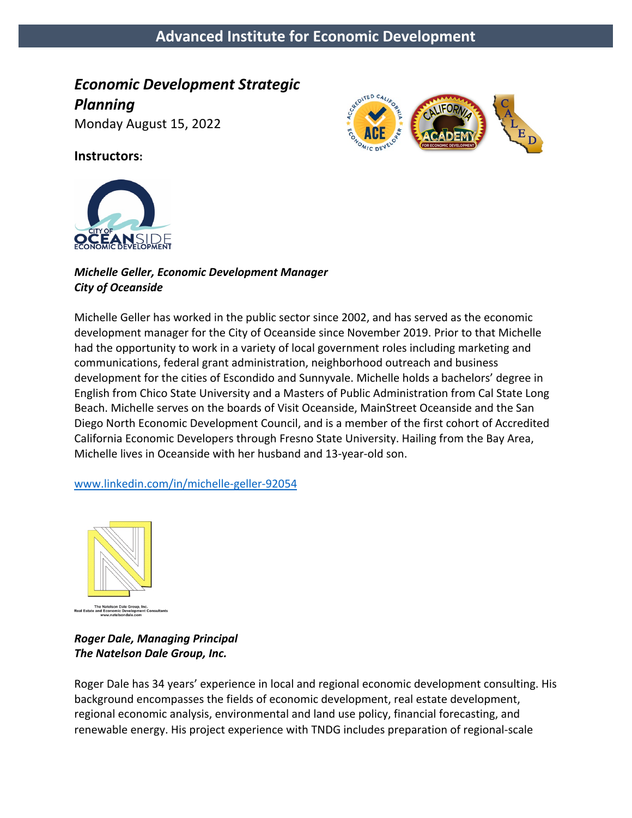# **Advanced Institute for Economic Development**

# *Economic Development Strategic*

*Planning* 

Monday August 15, 2022



**Instructors:**



#### *Michelle Geller, Economic Development Manager City of Oceanside*

Michelle Geller has worked in the public sector since 2002, and has served as the economic development manager for the City of Oceanside since November 2019. Prior to that Michelle had the opportunity to work in a variety of local government roles including marketing and communications, federal grant administration, neighborhood outreach and business development for the cities of Escondido and Sunnyvale. Michelle holds a bachelors' degree in English from Chico State University and a Masters of Public Administration from Cal State Long Beach. Michelle serves on the boards of Visit Oceanside, MainStreet Oceanside and the San Diego North Economic Development Council, and is a member of the first cohort of Accredited California Economic Developers through Fresno State University. Hailing from the Bay Area, Michelle lives in Oceanside with her husband and 13-year-old son.

www.linkedin.com/in/michelle-geller-92054



*Roger Dale, Managing Principal The Natelson Dale Group, Inc.*

Roger Dale has 34 years' experience in local and regional economic development consulting. His background encompasses the fields of economic development, real estate development, regional economic analysis, environmental and land use policy, financial forecasting, and renewable energy. His project experience with TNDG includes preparation of regional-scale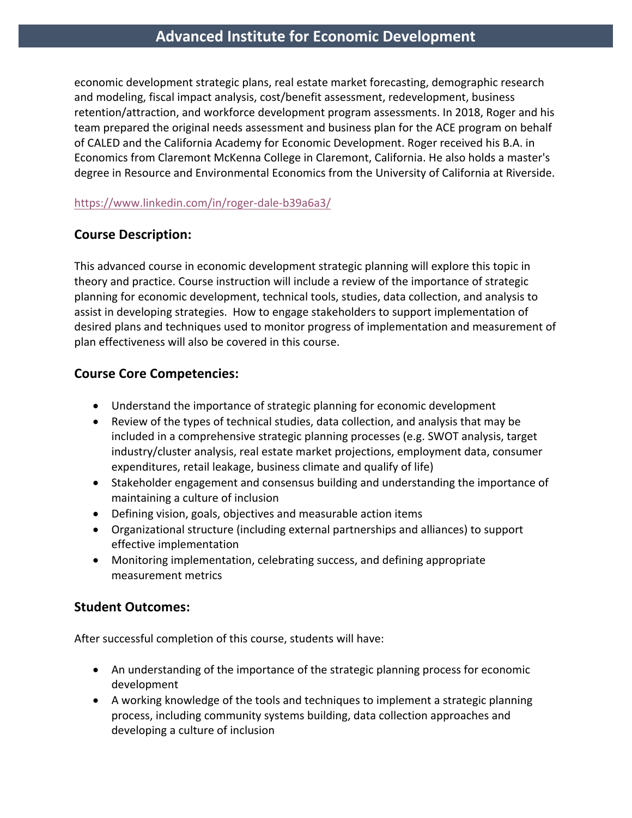## **Advanced Institute for Economic Development**

economic development strategic plans, real estate market forecasting, demographic research and modeling, fiscal impact analysis, cost/benefit assessment, redevelopment, business retention/attraction, and workforce development program assessments. In 2018, Roger and his team prepared the original needs assessment and business plan for the ACE program on behalf of CALED and the California Academy for Economic Development. Roger received his B.A. in Economics from Claremont McKenna College in Claremont, California. He also holds a master's degree in Resource and Environmental Economics from the University of California at Riverside.

#### https://www.linkedin.com/in/roger-dale-b39a6a3/

## **Course Description:**

This advanced course in economic development strategic planning will explore this topic in theory and practice. Course instruction will include a review of the importance of strategic planning for economic development, technical tools, studies, data collection, and analysis to assist in developing strategies. How to engage stakeholders to support implementation of desired plans and techniques used to monitor progress of implementation and measurement of plan effectiveness will also be covered in this course.

## **Course Core Competencies:**

- Understand the importance of strategic planning for economic development
- Review of the types of technical studies, data collection, and analysis that may be included in a comprehensive strategic planning processes (e.g. SWOT analysis, target industry/cluster analysis, real estate market projections, employment data, consumer expenditures, retail leakage, business climate and qualify of life)
- Stakeholder engagement and consensus building and understanding the importance of maintaining a culture of inclusion
- Defining vision, goals, objectives and measurable action items
- Organizational structure (including external partnerships and alliances) to support effective implementation
- Monitoring implementation, celebrating success, and defining appropriate measurement metrics

## **Student Outcomes:**

After successful completion of this course, students will have:

- An understanding of the importance of the strategic planning process for economic development
- A working knowledge of the tools and techniques to implement a strategic planning process, including community systems building, data collection approaches and developing a culture of inclusion